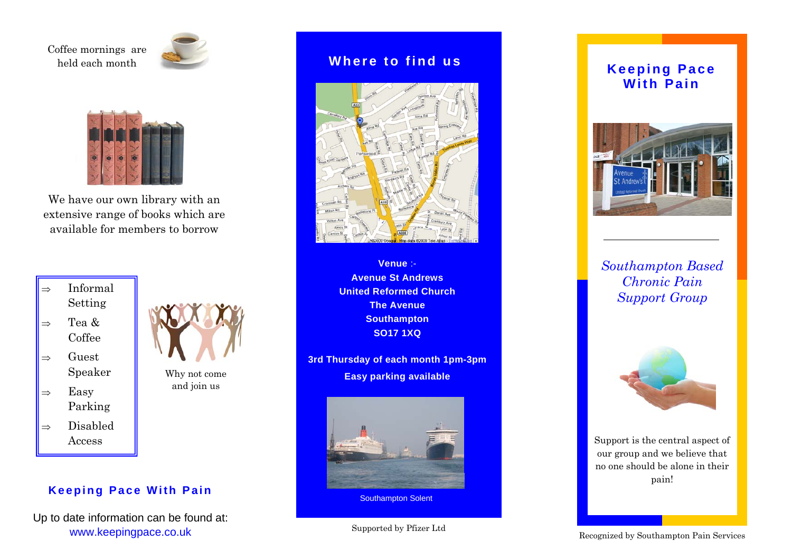Coffee mornings are held each month





We have our own library with an extensive range of books which are available for members to borrow



- $\Rightarrow$  Guest Speaker
- $\Rightarrow$  Easy Parking  $\Rightarrow$  Disabled Access



Why not come and join us

**Keeping Pace With Pain** 

Up to date information can be found at: www.keepingpace.co.uk

## **Where to find us**



**Venue** :- **Avenue St Andrews United Reformed Church The Avenue Southampton SO17 1XQ** 

**3rd Thursday of each month 1pm-3pm Easy parking available** 



Southampton Solent

## Supported by Pfizer Ltd

## **Keeping Pace With Pain**



*Southampton Based Chronic Pain Support Group* 



Support is the central aspect of our group and we believe that no one should be alone in their pain!

Recognized by Southampton Pain Services